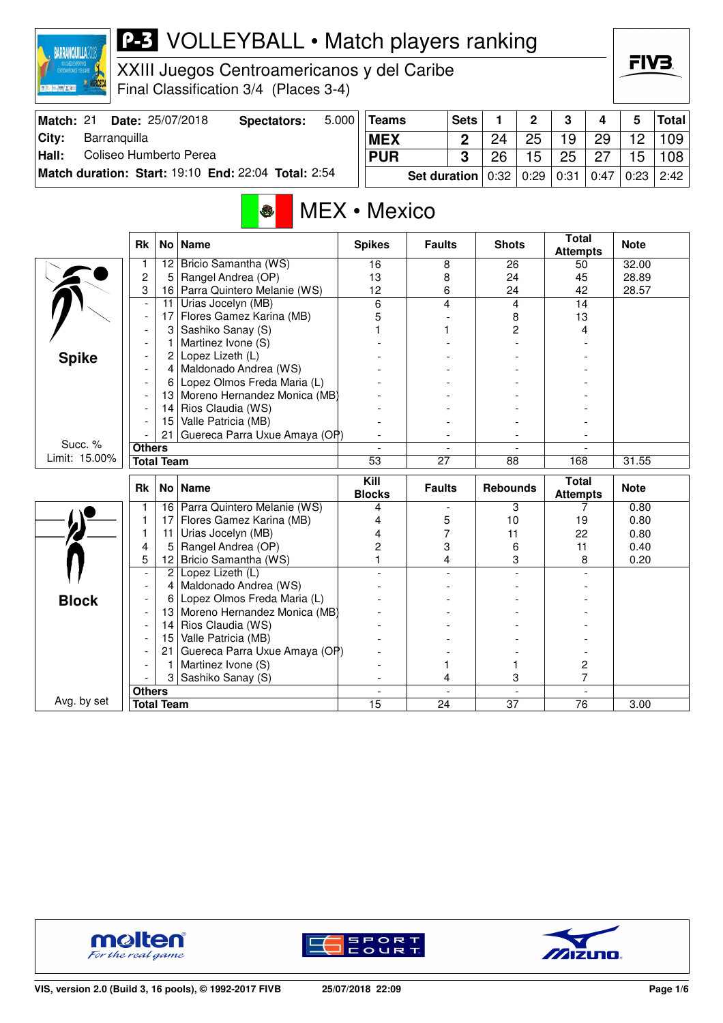

### **P-3** VOLLEYBALL • Match players ranking

XXIII Juegos Centroamericanos y del Caribe Final Classification 3/4 (Places 3-4)

| Match: 21 | <b>Date: 25/07/2018</b>                             | Spectators: | 5.000                                                  | <b>Teams</b> | <b>Sets</b> |    | $\overline{2}$ | - 3 | 4  | 5  | Total |
|-----------|-----------------------------------------------------|-------------|--------------------------------------------------------|--------------|-------------|----|----------------|-----|----|----|-------|
| City:     | Barranquilla                                        |             |                                                        | <b>MEX</b>   |             |    | 25             | 19  | 29 | 12 | 109   |
| Hall:     | Coliseo Humberto Perea                              |             |                                                        | <b>PUR</b>   |             | 26 | 15             | 25  | 27 | 15 | 108   |
|           | Match duration: Start: 19:10 End: 22:04 Total: 2:54 |             | Set duration   0:32   0:29   0:31   0:47   0:23   2:42 |              |             |    |                |     |    |    |       |

## MEX • Mexico

|               | <b>Rk</b>                |                 | No Name                         | <b>Spikes</b>         | <b>Faults</b> | <b>Shots</b>    | <b>Total</b><br><b>Attempts</b> | <b>Note</b> |
|---------------|--------------------------|-----------------|---------------------------------|-----------------------|---------------|-----------------|---------------------------------|-------------|
|               | 1                        | 12              | Bricio Samantha (WS)            | 16                    | 8             | 26              | 50                              | 32.00       |
|               | $\overline{c}$           | 5               | Rangel Andrea (OP)              | 13                    | 8             | 24              | 45                              | 28.89       |
|               | 3                        | 16              | Parra Quintero Melanie (WS)     | 12                    | 6             | 24              | 42                              | 28.57       |
|               | L,                       | 11              | Urias Jocelyn (MB)              | 6                     | 4             | 4               | 14                              |             |
|               | $\overline{\phantom{a}}$ | 17              | Flores Gamez Karina (MB)        | 5                     |               | 8               | 13                              |             |
|               |                          | 3               | Sashiko Sanay (S)               |                       |               | 2               | 4                               |             |
|               |                          | 1               | Martinez Ivone (S)              |                       |               |                 |                                 |             |
| <b>Spike</b>  | $\blacksquare$           | $\overline{2}$  | Lopez Lizeth (L)                |                       |               |                 |                                 |             |
|               | $\blacksquare$           |                 | 4 Maldonado Andrea (WS)         |                       |               |                 |                                 |             |
|               | $\blacksquare$           | 6               | Lopez Olmos Freda Maria (L)     |                       |               |                 |                                 |             |
|               |                          |                 | 13 Moreno Hernandez Monica (MB) |                       |               |                 |                                 |             |
|               |                          | 14              | Rios Claudia (WS)               |                       |               |                 |                                 |             |
|               |                          | 15              | Valle Patricia (MB)             |                       |               |                 |                                 |             |
|               |                          | 21              | Guereca Parra Uxue Amaya (OP)   |                       |               |                 |                                 |             |
| Succ. %       | <b>Others</b>            |                 |                                 |                       |               |                 |                                 |             |
| Limit: 15.00% | <b>Total Team</b>        |                 | $\overline{53}$                 | $\overline{27}$       | 88            | 168             | 31.55                           |             |
|               | <b>Rk</b><br>No Name     |                 |                                 |                       |               |                 |                                 |             |
|               |                          |                 |                                 | Kill<br><b>Blocks</b> | <b>Faults</b> | <b>Rebounds</b> | <b>Total</b><br><b>Attempts</b> | <b>Note</b> |
|               |                          | 16              | Parra Quintero Melanie (WS)     | 4                     |               | 3               |                                 | 0.80        |
|               | 1                        | 17              | Flores Gamez Karina (MB)        | 4                     | 5             | 10              | 19                              | 0.80        |
|               | $\mathbf{1}$             | 11              | Urias Jocelyn (MB)              | 4                     | 7             | 11              | 22                              | 0.80        |
|               | 4                        | 5               | Rangel Andrea (OP)              | 2                     | 3             | 6               | 11                              | 0.40        |
|               | 5                        | 12 <sub>2</sub> | Bricio Samantha (WS)            |                       | 4             | 3               | 8                               | 0.20        |
|               |                          | $\overline{2}$  | Lopez Lizeth (L)                |                       |               |                 |                                 |             |
|               |                          | 4               | Maldonado Andrea (WS)           |                       |               |                 |                                 |             |
|               |                          | 6               | Lopez Olmos Freda Maria (L)     |                       |               |                 |                                 |             |
| <b>Block</b>  |                          | 13              | Moreno Hernandez Monica (MB)    |                       |               |                 |                                 |             |
|               |                          | 14              | Rios Claudia (WS)               |                       |               |                 |                                 |             |
|               |                          | 15              | Valle Patricia (MB)             |                       |               |                 |                                 |             |
|               |                          | 21              | Guereca Parra Uxue Amaya (OP)   |                       |               |                 |                                 |             |
|               |                          | 1               | Martinez Ivone (S)              |                       |               |                 | 2                               |             |
|               |                          | 3               | Sashiko Sanay (S)               |                       | 4             | 3               | 7                               |             |
| Avg. by set   | <b>Others</b>            |                 |                                 | 15                    |               | $\overline{37}$ |                                 |             |







FIV<sub>3</sub>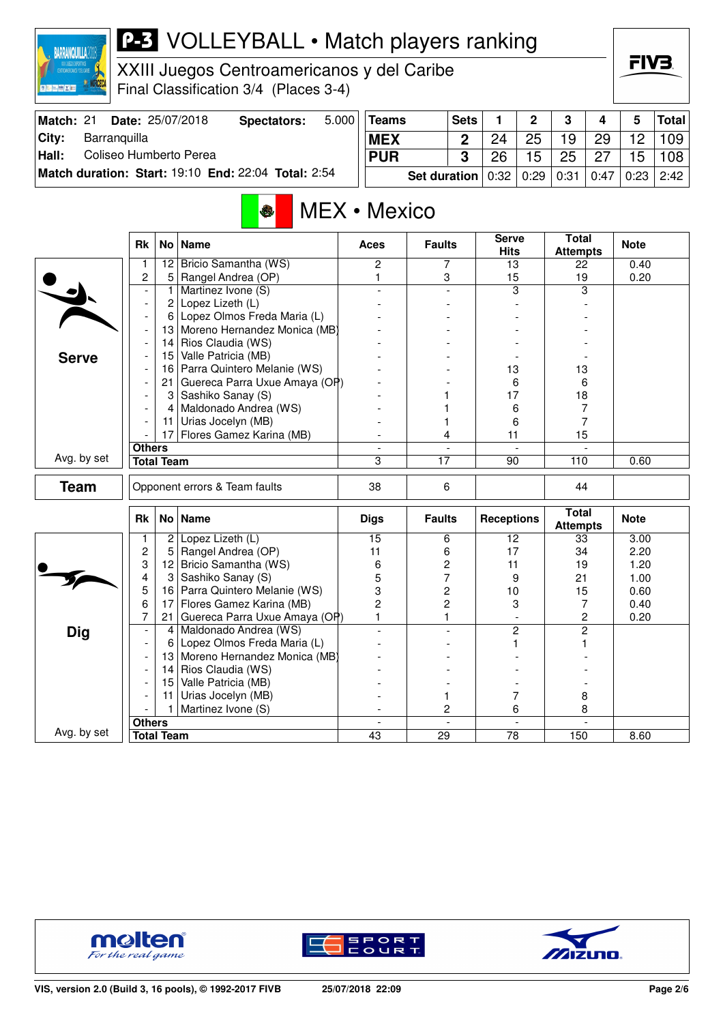| M                                    |                  |  |
|--------------------------------------|------------------|--|
| <b>CENTROANERICANOS Y DEL CARIBE</b> | MEROS DEPORTIVOS |  |
|                                      |                  |  |
| The                                  |                  |  |

## **P-3** VOLLEYBALL • Match players ranking

XXIII Juegos Centroamericanos y del Caribe Final Classification 3/4 (Places 3-4)

| Match: 21 | <b>Date: 25/07/2018</b>                             | Spectators: | 5.000 | <b>Teams</b>                                           | <b>Sets</b> |    | $\overline{\mathbf{2}}$ | $\mathbf{3}$ | 4  | 5                 | Total |
|-----------|-----------------------------------------------------|-------------|-------|--------------------------------------------------------|-------------|----|-------------------------|--------------|----|-------------------|-------|
| City:     | Barranquilla                                        |             |       | <b>MEX</b>                                             |             |    | 25                      | 19           | 29 | $12 \overline{ }$ | 109   |
| Hall:     | Coliseo Humberto Perea                              |             |       | <b>PUR</b>                                             |             | 26 | 15                      | -25          | 27 | 15                | 108   |
|           | Match duration: Start: 19:10 End: 22:04 Total: 2:54 |             |       | Set duration   0:32   0:29   0:31   0:47   0:23   2:42 |             |    |                         |              |    |                   |       |

# MEX • Mexico

|              | <b>Rk</b>                | No <sub>1</sub>   | <b>Name</b>                   | <b>Aces</b>     | <b>Faults</b>   | <b>Serve</b><br><b>Hits</b> | Total<br><b>Attempts</b>        | <b>Note</b> |
|--------------|--------------------------|-------------------|-------------------------------|-----------------|-----------------|-----------------------------|---------------------------------|-------------|
|              | 1                        |                   | 12 Bricio Samantha (WS)       | $\overline{c}$  | 7               | 13                          | 22                              | 0.40        |
|              | 2                        | 5                 | Rangel Andrea (OP)            | 1               | 3               | 15                          | 19                              | 0.20        |
|              |                          | 1                 | Martinez Ivone (S)            |                 |                 | 3                           | 3                               |             |
|              |                          | $\overline{c}$    | Lopez Lizeth (L)              |                 |                 |                             |                                 |             |
|              | $\overline{\phantom{a}}$ | 6                 | Lopez Olmos Freda Maria (L)   |                 |                 |                             |                                 |             |
|              |                          | 13                | Moreno Hernandez Monica (MB)  |                 |                 |                             |                                 |             |
|              | $\overline{\phantom{a}}$ | 14                | Rios Claudia (WS)             |                 |                 |                             |                                 |             |
| <b>Serve</b> | $\overline{\phantom{a}}$ | 15                | Valle Patricia (MB)           |                 |                 |                             |                                 |             |
|              |                          | 16                | Parra Quintero Melanie (WS)   |                 |                 | 13                          | 13                              |             |
|              | $\overline{\phantom{a}}$ | 21                | Guereca Parra Uxue Amaya (OP) |                 |                 | 6                           | 6                               |             |
|              |                          | 3                 | Sashiko Sanay (S)             |                 |                 | 17                          | 18                              |             |
|              |                          | 4                 | Maldonado Andrea (WS)         |                 |                 | 6                           | $\overline{7}$                  |             |
|              |                          | 11                | Urias Jocelyn (MB)            |                 |                 | 6                           | 7                               |             |
|              |                          | 17 <sup>1</sup>   | Flores Gamez Karina (MB)      |                 | 4               | 11                          | 15                              |             |
|              | <b>Others</b>            |                   |                               |                 |                 |                             |                                 |             |
| Avg. by set  |                          | <b>Total Team</b> |                               | 3               | $\overline{17}$ | 90                          | 110                             | 0.60        |
| <b>Team</b>  |                          |                   | Opponent errors & Team faults | 38              | 6               |                             | 44                              |             |
|              | <b>Rk</b>                |                   | No   Name                     | <b>Digs</b>     | <b>Faults</b>   | <b>Receptions</b>           | <b>Total</b><br><b>Attempts</b> | <b>Note</b> |
|              | 1                        | 2                 | Lopez Lizeth (L)              | $\overline{15}$ | 6               | $\overline{12}$             | 33                              | 3.00        |
|              | $\overline{c}$           | 5                 | Rangel Andrea (OP)            | 11              | 6               | 17                          | 34                              | 2.20        |
|              | 3                        | 12                | Bricio Samantha (WS)          | 6               | 2               | 11                          | 19                              | 1.20        |
|              | 4                        | 3                 | Sashiko Sanay (S)             | 5               | $\overline{7}$  | 9                           | 21                              | 1.00        |
|              | 5                        | 16                | Parra Quintero Melanie (WS)   | 3               | $\overline{c}$  | 10                          | 15                              | 0.60        |
|              | 6                        | 17                | Flores Gamez Karina (MB)      | $\overline{2}$  | $\overline{c}$  | 3                           | 7                               | 0.40        |
|              | 7                        | $21 \mid$         | Guereca Parra Uxue Amaya (OP) | $\mathbf{1}$    | 1.              | $\overline{a}$              | 2                               | 0.20        |
| <b>Dig</b>   | $\overline{\phantom{a}}$ | 4                 | Maldonado Andrea (WS)         |                 |                 | 2                           | $\overline{2}$                  |             |
|              |                          | 6                 | Lopez Olmos Freda Maria (L)   |                 |                 | 1                           | 1                               |             |
|              |                          | 13                | Moreno Hernandez Monica (MB)  |                 |                 |                             |                                 |             |
|              | $\overline{\phantom{a}}$ | 14                | Rios Claudia (WS)             |                 |                 |                             |                                 |             |
|              |                          | 15 <sub>1</sub>   | Valle Patricia (MB)           |                 |                 |                             |                                 |             |
|              |                          | 11                | Urias Jocelyn (MB)            |                 | 1               | 7                           | 8                               |             |
|              |                          | 1                 | Martinez Ivone (S)            |                 | 2               | 6                           | 8                               |             |
|              | <b>Others</b>            |                   |                               | $\blacksquare$  | $\sim$          | $\blacksquare$              |                                 |             |
| Avg. by set  |                          | <b>Total Team</b> |                               | 43              | 29              | 78                          | 150                             | 8.60        |







FIV<sub>3</sub>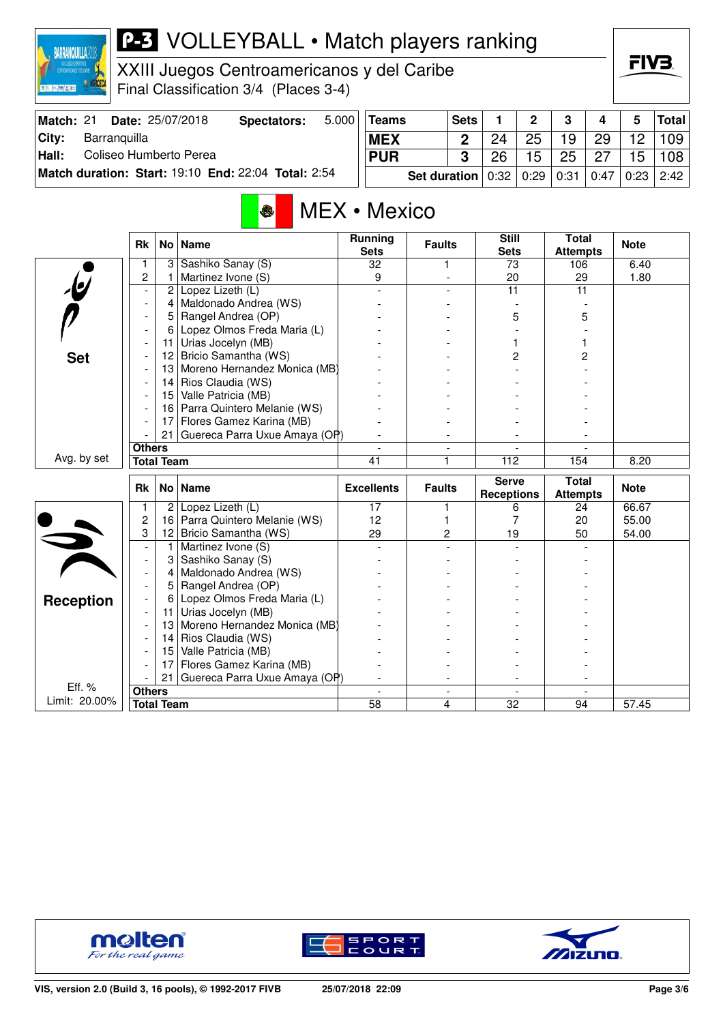

### **P-3** VOLLEYBALL • Match players ranking

XXIII Juegos Centroamericanos y del Caribe Final Classification 3/4 (Places 3-4)

| <b>Match: 21</b> |              | <b>Date: 25/07/2018</b> | <b>Spectators:</b>                                  | $5.000$ Teams |                                          | Sets |    | $\overline{2}$ | $\mathbf{3}$ | 4   | 5                | Total          |
|------------------|--------------|-------------------------|-----------------------------------------------------|---------------|------------------------------------------|------|----|----------------|--------------|-----|------------------|----------------|
| Citv:            | Barranquilla |                         |                                                     | <b>MEX</b>    |                                          | C    | 24 | 25             | 19           | -29 | 12 <sup>12</sup> | 109            |
| Hall:            |              | Coliseo Humberto Perea  |                                                     | <b>PUR</b>    |                                          | າ    | 26 | 15             | 25           | 27  | 15 <sup>15</sup> | 108            |
|                  |              |                         | Match duration: Start: 19:10 End: 22:04 Total: 2:54 |               | <b>Set duration</b> $0.32   0.29   0.31$ |      |    |                |              |     |                  | 0.47 0.23 2.42 |

## MEX • Mexico

|                         | <b>Rk</b>         | No <sub>1</sub>   | <b>Name</b>                   | Running<br><b>Sets</b> | <b>Faults</b>  | <b>Still</b><br><b>Sets</b> | <b>Total</b><br><b>Attempts</b> | <b>Note</b> |
|-------------------------|-------------------|-------------------|-------------------------------|------------------------|----------------|-----------------------------|---------------------------------|-------------|
|                         |                   | $\mathbf{3}$      | Sashiko Sanay (S)             | 32                     | 1              | 73                          | 106                             | 6.40        |
|                         | $\overline{c}$    | 1                 | Martinez Ivone (S)            | 9                      |                | 20                          | 29                              | 1.80        |
| $\mathbf{e}$            |                   | $\overline{c}$    | Lopez Lizeth (L)              |                        |                | 11                          | 11                              |             |
|                         |                   | 4                 | Maldonado Andrea (WS)         |                        |                |                             |                                 |             |
|                         |                   | 5                 | Rangel Andrea (OP)            |                        |                | 5                           | 5                               |             |
|                         |                   | 6                 | Lopez Olmos Freda Maria (L)   |                        |                |                             |                                 |             |
|                         |                   | 11                | Urias Jocelyn (MB)            |                        |                |                             |                                 |             |
| <b>Set</b>              |                   | 12                | Bricio Samantha (WS)          |                        |                | 2                           | 2                               |             |
|                         |                   | 13                | Moreno Hernandez Monica (MB)  |                        |                |                             |                                 |             |
|                         |                   | 14                | Rios Claudia (WS)             |                        |                |                             |                                 |             |
|                         |                   | 15 <sub>1</sub>   | Valle Patricia (MB)           |                        |                |                             |                                 |             |
|                         |                   | 16                | Parra Quintero Melanie (WS)   |                        |                |                             |                                 |             |
|                         |                   | 17 <sup>1</sup>   | Flores Gamez Karina (MB)      |                        |                |                             |                                 |             |
|                         |                   | 21                | Guereca Parra Uxue Amaya (OP) |                        |                |                             |                                 |             |
|                         | <b>Others</b>     |                   |                               |                        | $\blacksquare$ |                             |                                 |             |
| Avg. by set             | <b>Total Team</b> |                   | 41                            | 1                      | 112            | 154                         | 8.20                            |             |
|                         |                   |                   |                               |                        |                |                             |                                 |             |
|                         |                   |                   |                               |                        |                | <b>Serve</b>                | <b>Total</b>                    |             |
|                         | <b>Rk</b>         |                   | No Name                       | <b>Excellents</b>      | <b>Faults</b>  | <b>Receptions</b>           | <b>Attempts</b>                 | <b>Note</b> |
|                         | 1                 | 2 <sup>1</sup>    | Lopez Lizeth (L)              | 17                     | 1              | 6                           | 24                              | 66.67       |
|                         | $\overline{c}$    | 16                | Parra Quintero Melanie (WS)   | 12                     | 1              | 7                           | 20                              | 55.00       |
|                         | 3                 | 12                | Bricio Samantha (WS)          | 29                     | $\overline{c}$ | 19                          | 50                              | 54.00       |
|                         |                   | 1                 | Martinez Ivone (S)            |                        |                |                             |                                 |             |
|                         |                   | 3                 | Sashiko Sanay (S)             |                        |                |                             |                                 |             |
|                         |                   | 4                 | Maldonado Andrea (WS)         |                        |                |                             |                                 |             |
|                         |                   | 5                 | Rangel Andrea (OP)            |                        |                |                             |                                 |             |
|                         |                   | 6                 | Lopez Olmos Freda Maria (L)   |                        |                |                             |                                 |             |
| <b>Reception</b>        |                   | 11                | Urias Jocelyn (MB)            |                        |                |                             |                                 |             |
|                         |                   | 13                | Moreno Hernandez Monica (MB)  |                        |                |                             |                                 |             |
|                         |                   | 14                | Rios Claudia (WS)             |                        |                |                             |                                 |             |
|                         |                   | 15                | Valle Patricia (MB)           |                        |                |                             |                                 |             |
|                         |                   | 17                | Flores Gamez Karina (MB)      |                        |                |                             |                                 |             |
|                         |                   | 21                | Guereca Parra Uxue Amaya (OP) |                        |                |                             |                                 |             |
| Eff. %<br>Limit: 20.00% | <b>Others</b>     | <b>Total Team</b> |                               | 58                     | 4              | 32                          | 94                              | 57.45       |







FIV<sub>3</sub>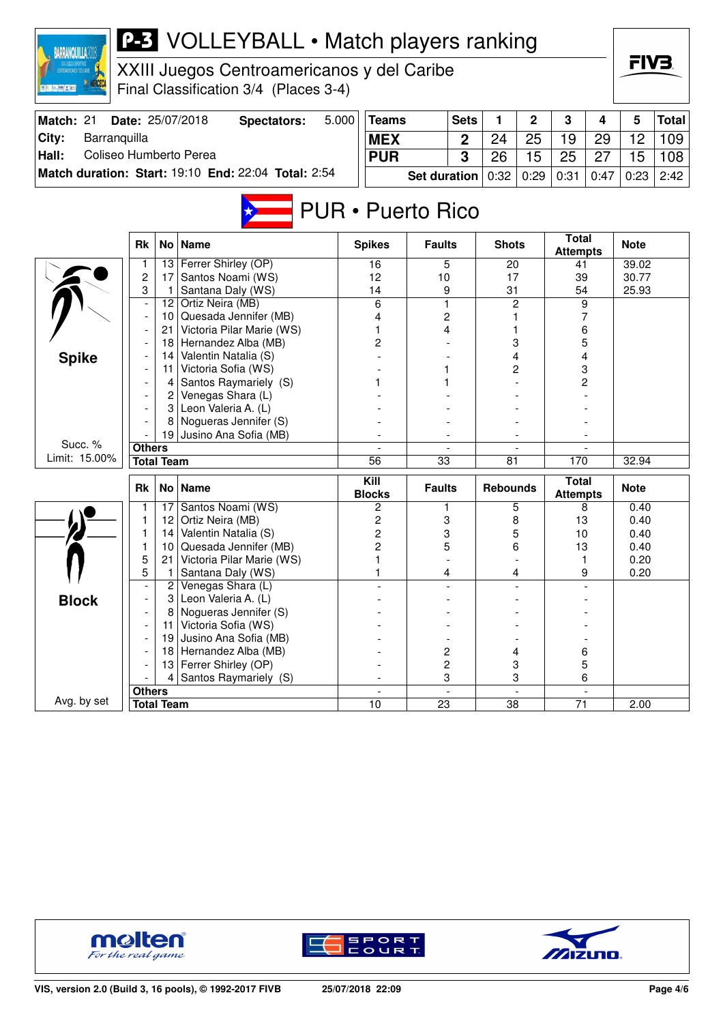| <b>BARRANQUILLA2018</b>         |                                                          |                            | <b>P-3</b> VOLLEYBALL • Match players ranking       |       |                          |                     |              |                 |      |                                 |      |              |       |
|---------------------------------|----------------------------------------------------------|----------------------------|-----------------------------------------------------|-------|--------------------------|---------------------|--------------|-----------------|------|---------------------------------|------|--------------|-------|
|                                 |                                                          |                            | XXIII Juegos Centroamericanos y del Caribe          |       |                          |                     |              |                 |      |                                 |      | FIV3.        |       |
|                                 |                                                          |                            |                                                     |       |                          |                     |              |                 |      |                                 |      |              |       |
|                                 |                                                          |                            | Final Classification 3/4 (Places 3-4)               |       |                          |                     |              |                 |      |                                 |      |              |       |
| Match: 21                       |                                                          |                            | Date: 25/07/2018<br><b>Spectators:</b>              | 5.000 | <b>Teams</b>             |                     | <b>Sets</b>  | 1               | 2    | 3                               | 4    | 5            | Total |
| City:<br>Barranquilla           |                                                          |                            |                                                     |       | <b>MEX</b>               |                     | $\mathbf{2}$ | 24              | 25   | 19                              | 29   | 12           | 109   |
| Hall:<br>Coliseo Humberto Perea |                                                          |                            |                                                     |       | <b>PUR</b>               |                     | 3            | 26              | 15   | 25                              | 27   | 15           | 108   |
|                                 |                                                          |                            | Match duration: Start: 19:10 End: 22:04 Total: 2:54 |       |                          | <b>Set duration</b> |              | 0:32            | 0:29 | 0:31                            | 0:47 | 0:23         | 2:42  |
|                                 |                                                          |                            |                                                     |       |                          |                     |              |                 |      |                                 |      |              |       |
|                                 |                                                          |                            |                                                     |       | <b>PUR • Puerto Rico</b> |                     |              |                 |      |                                 |      |              |       |
|                                 |                                                          |                            |                                                     |       |                          |                     |              |                 |      |                                 |      |              |       |
|                                 | <b>Rk</b>                                                | No <sub>1</sub>            | <b>Name</b>                                         |       | <b>Spikes</b>            | <b>Faults</b>       |              | <b>Shots</b>    |      | <b>Total</b><br><b>Attempts</b> |      | <b>Note</b>  |       |
|                                 | 1                                                        | 13                         | Ferrer Shirley (OP)                                 |       | 16                       | 5                   |              | 20              |      | 41                              |      | 39.02        |       |
|                                 | $\overline{c}$                                           | 17                         | Santos Noami (WS)                                   |       | 12                       | 10                  |              | 17<br>31        |      | 39<br>54<br>9                   |      | 30.77        |       |
|                                 | 3                                                        | 1                          | Santana Daly (WS)<br>Ortiz Neira (MB)               |       | 14<br>6                  | 9<br>1              |              |                 |      |                                 |      | 25.93        |       |
|                                 | $12 \,$<br>$\overline{a}$<br>Quesada Jennifer (MB)<br>10 |                            |                                                     | 4     |                          | 2                   | 2            |                 |      | 7                               |      |              |       |
|                                 |                                                          | 21                         | Victoria Pilar Marie (WS)                           |       |                          |                     | 4            |                 |      |                                 | 6    |              |       |
|                                 |                                                          | 18                         | Hernandez Alba (MB)                                 |       | 2                        |                     |              | 3               |      | 5                               |      |              |       |
| <b>Spike</b>                    |                                                          | 14                         | Valentin Natalia (S)                                |       |                          |                     |              |                 | 4    |                                 | 4    |              |       |
|                                 |                                                          | 11                         | Victoria Sofia (WS)                                 |       |                          |                     |              |                 | 2    |                                 | 3    |              |       |
|                                 |                                                          | Santos Raymariely (S)<br>4 |                                                     |       |                          |                     |              |                 |      | 2                               |      |              |       |
|                                 |                                                          | 2                          | Venegas Shara (L)                                   |       |                          |                     |              |                 |      |                                 |      |              |       |
|                                 |                                                          | 3                          | Leon Valeria A. (L)                                 |       |                          |                     |              |                 |      |                                 |      |              |       |
|                                 |                                                          | 8<br>19                    | Nogueras Jennifer (S)<br>Jusino Ana Sofia (MB)      |       |                          |                     |              |                 |      |                                 |      |              |       |
| Succ. %                         | <b>Others</b>                                            |                            |                                                     |       |                          |                     |              |                 |      |                                 |      |              |       |
| Limit: 15.00%                   |                                                          | <b>Total Team</b>          |                                                     |       | $\overline{56}$          | $\overline{33}$     |              | 81              |      | 170                             |      | 32.94        |       |
|                                 |                                                          |                            |                                                     |       | Kill                     |                     |              |                 |      | <b>Total</b>                    |      |              |       |
|                                 | Rk                                                       | No <sub>1</sub>            | <b>Name</b>                                         |       | <b>Blocks</b>            | <b>Faults</b>       |              | <b>Rebounds</b> |      | <b>Attempts</b>                 |      | <b>Note</b>  |       |
|                                 | 1                                                        | 17                         | Santos Noami (WS)                                   |       | 2                        | 1                   |              |                 | 5    | 8                               |      | 0.40         |       |
|                                 | 1<br>1                                                   | 12<br> 14                  | Ortiz Neira (MB)<br>Valentin Natalia (S)            |       | 2<br>2                   | 3                   |              |                 | 8    | 13<br>10                        |      | 0.40<br>0.40 |       |
|                                 | 1                                                        | 10                         | Quesada Jennifer (MB)                               |       | 2                        | 3<br>5              |              |                 | 5    |                                 |      | 0.40         |       |
|                                 | 5                                                        | 21                         | Victoria Pilar Marie (WS)                           |       | 1                        |                     |              | 6               |      | 13                              |      | 0.20         |       |
|                                 | 5                                                        |                            | Santana Daly (WS)                                   |       | 1                        | 4                   |              | 4               |      | 1<br>9                          |      | 0.20         |       |
|                                 |                                                          | 2                          | Venegas Shara (L)                                   |       |                          |                     |              |                 |      |                                 |      |              |       |
| <b>Block</b>                    |                                                          | 3                          | Leon Valeria A. (L)                                 |       |                          |                     |              |                 |      |                                 |      |              |       |
|                                 |                                                          |                            | Nogueras Jennifer (S)                               |       |                          |                     |              |                 |      |                                 |      |              |       |
|                                 |                                                          | 11                         | Victoria Sofia (WS)                                 |       |                          |                     |              |                 |      |                                 |      |              |       |
|                                 |                                                          | 19                         | Jusino Ana Sofia (MB)                               |       | 2                        |                     |              |                 |      |                                 |      |              |       |
|                                 |                                                          |                            | 18 Hernandez Alba (MB)                              |       |                          |                     |              |                 | 4    |                                 | 6    |              |       |
|                                 |                                                          | 4                          | 13 Ferrer Shirley (OP)<br>Santos Raymariely (S)     |       |                          | 2<br>3              |              | 3<br>3          |      | 5<br>6                          |      |              |       |
|                                 | <b>Others</b>                                            |                            |                                                     |       |                          |                     |              |                 |      |                                 |      |              |       |
| Avg. by set                     |                                                          | <b>Total Team</b>          |                                                     |       | 10                       | 23                  |              | 38              |      | 71                              |      | 2.00         |       |
|                                 |                                                          |                            |                                                     |       |                          |                     |              |                 |      |                                 |      |              |       |





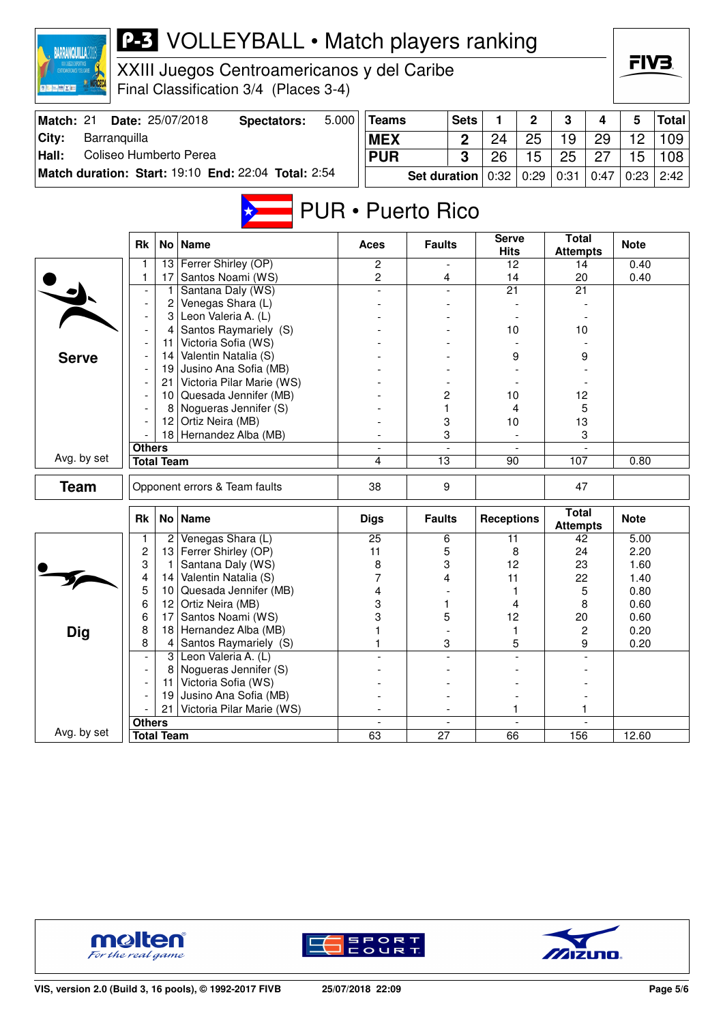| <b>BARRANQUILLA20</b>           |                                                               |                          | <b>P-3</b> VOLLEYBALL • Match players ranking       |                                                      |                             |                     |                                 |                          |             |                                 |                |                   |              |
|---------------------------------|---------------------------------------------------------------|--------------------------|-----------------------------------------------------|------------------------------------------------------|-----------------------------|---------------------|---------------------------------|--------------------------|-------------|---------------------------------|----------------|-------------------|--------------|
|                                 |                                                               |                          | XXIII Juegos Centroamericanos y del Caribe          |                                                      |                             |                     |                                 |                          |             |                                 |                | FIV3.             |              |
|                                 |                                                               |                          | Final Classification 3/4 (Places 3-4)               |                                                      |                             |                     |                                 |                          |             |                                 |                |                   |              |
| Match: 21                       |                                                               |                          | Date: 25/07/2018<br><b>Spectators:</b>              | 5.000                                                | <b>Teams</b>                |                     | <b>Sets</b>                     | 1                        | 2           | 3                               | 4              | 5                 | <b>Total</b> |
| City:<br>Barranquilla           |                                                               |                          |                                                     |                                                      | <b>MEX</b>                  |                     |                                 | 24                       | 25          | 19                              | 29             | 12                | 109          |
| Coliseo Humberto Perea<br>Hall: |                                                               |                          |                                                     |                                                      | <b>PUR</b>                  |                     | 3                               | 26                       | 15          | 25                              | 27             | 15                | 108          |
|                                 |                                                               |                          | Match duration: Start: 19:10 End: 22:04 Total: 2:54 |                                                      |                             | <b>Set duration</b> |                                 | 0:32                     | 0:29        | 0:31                            | 0:47           | 0:23              | 2:42         |
|                                 |                                                               |                          |                                                     |                                                      | <b>PUR</b> • Puerto Rico    |                     |                                 |                          |             |                                 |                |                   |              |
|                                 |                                                               |                          |                                                     |                                                      |                             |                     |                                 |                          |             |                                 |                |                   |              |
|                                 |                                                               | Aces<br>$\mathbf{2}$     | <b>Faults</b>                                       |                                                      | <b>Serve</b><br><b>Hits</b> |                     | <b>Total</b><br><b>Attempts</b> |                          | <b>Note</b> |                                 |                |                   |              |
|                                 | Ferrer Shirley (OP)<br>13<br>1                                |                          |                                                     |                                                      |                             |                     | $\overline{a}$                  | 12                       |             | 14                              |                | 0.40              |              |
|                                 | 1                                                             | 17<br>1                  | Santos Noami (WS)<br>Santana Daly (WS)              |                                                      | $\overline{c}$              |                     | 4                               | 14<br>21                 |             | 20<br>21                        |                | 0.40              |              |
|                                 |                                                               | 2                        | Venegas Shara (L)                                   |                                                      |                             |                     |                                 |                          |             |                                 |                |                   |              |
|                                 |                                                               |                          | 3 Leon Valeria A. (L)                               |                                                      |                             |                     |                                 |                          |             |                                 |                |                   |              |
| <b>Serve</b>                    |                                                               | 4                        | Santos Raymariely (S)                               |                                                      |                             |                     |                                 | 10                       |             | 10                              |                |                   |              |
|                                 |                                                               | 11                       | Victoria Sofia (WS)                                 |                                                      |                             |                     |                                 |                          |             |                                 |                |                   |              |
|                                 |                                                               | 14                       | Valentin Natalia (S)                                |                                                      |                             |                     |                                 |                          | 9           | 9                               |                |                   |              |
|                                 | 19 Jusino Ana Sofia (MB)<br>Victoria Pilar Marie (WS)<br>21 I |                          |                                                     |                                                      |                             |                     |                                 |                          |             |                                 |                |                   |              |
|                                 |                                                               | 10 Quesada Jennifer (MB) |                                                     |                                                      |                             | 2                   |                                 | 10                       |             | 12                              |                |                   |              |
|                                 |                                                               | 8                        | Nogueras Jennifer (S)                               |                                                      |                             | 1                   |                                 |                          | 4           | 5                               |                |                   |              |
|                                 |                                                               | 12                       | Ortiz Neira (MB)                                    |                                                      |                             | 3                   |                                 | 10                       |             | 13                              |                |                   |              |
|                                 |                                                               |                          | 18 Hernandez Alba (MB)                              |                                                      |                             |                     | 3                               |                          |             |                                 | 3              |                   |              |
|                                 | <b>Others</b>                                                 |                          |                                                     |                                                      |                             |                     |                                 |                          |             |                                 |                |                   |              |
| Avg. by set                     |                                                               | <b>Total Team</b>        |                                                     |                                                      | 4                           | $\overline{13}$     |                                 | 90                       |             | 107                             |                | 0.80              |              |
| <b>Team</b>                     |                                                               |                          | Opponent errors & Team faults                       |                                                      | 38                          | 9                   |                                 |                          |             | 47                              |                |                   |              |
|                                 | <b>Rk</b>                                                     |                          | No   Name                                           |                                                      | <b>Digs</b>                 | <b>Faults</b>       |                                 | <b>Receptions</b>        |             | <b>Total</b><br><b>Attempts</b> |                | <b>Note</b>       |              |
|                                 | ı                                                             | 2                        | Venegas Shara (L)                                   |                                                      | 25                          |                     | 6                               | 11                       |             | 42                              |                | $\overline{5.00}$ |              |
|                                 | $\boldsymbol{2}$                                              |                          | 13 Ferrer Shirley (OP)                              |                                                      | 11                          |                     | 5                               | 8                        |             | 24                              |                | 2.20              |              |
|                                 | 3<br>4                                                        | 1.<br>14                 | Santana Daly (WS)<br>Valentin Natalia (S)           |                                                      | 8<br>7                      |                     | 3<br>4                          | 12<br>11                 |             | 23<br>22                        |                | 1.60<br>1.40      |              |
|                                 | 5                                                             | 10                       | Quesada Jennifer (MB)                               |                                                      | 4                           |                     |                                 |                          |             |                                 | 5              | 0.80              |              |
|                                 | 6                                                             | 12                       | Ortiz Neira (MB)                                    |                                                      | 3                           |                     | 1                               |                          | 4           | 8                               |                | 0.60              |              |
|                                 | 6                                                             | 17                       | Santos Noami (WS)                                   |                                                      | 3                           |                     | 5                               | 12                       |             | 20                              |                | 0.60              |              |
| <b>Dig</b>                      | 8                                                             | 18                       | Hernandez Alba (MB)                                 |                                                      |                             |                     |                                 |                          | 1           |                                 | $\overline{c}$ | 0.20              |              |
|                                 | 8                                                             | 4                        | Santos Raymariely (S)                               |                                                      |                             |                     | 3                               |                          | 5           |                                 | 9              | 0.20              |              |
|                                 | $\overline{\phantom{a}}$                                      | 3                        | Leon Valeria A. (L)                                 |                                                      |                             |                     | $\overline{a}$                  |                          |             |                                 |                |                   |              |
|                                 | $\overline{\phantom{a}}$                                      | 8<br>11                  | Nogueras Jennifer (S)<br>Victoria Sofia (WS)        |                                                      |                             |                     |                                 |                          |             |                                 |                |                   |              |
|                                 |                                                               | 19                       | Jusino Ana Sofia (MB)                               |                                                      |                             |                     |                                 |                          |             |                                 |                |                   |              |
|                                 |                                                               | 21                       | Victoria Pilar Marie (WS)                           |                                                      |                             |                     |                                 |                          | 1.          |                                 | $\mathbf{1}$   |                   |              |
|                                 | <b>Others</b>                                                 |                          |                                                     | $\overline{\phantom{a}}$<br>$\overline{\phantom{a}}$ |                             |                     |                                 | $\overline{\phantom{a}}$ |             |                                 |                |                   |              |
| Avg. by set                     |                                                               | <b>Total Team</b>        |                                                     |                                                      | 63                          | $\overline{27}$     |                                 | 66                       |             | 156                             |                | 12.60             |              |